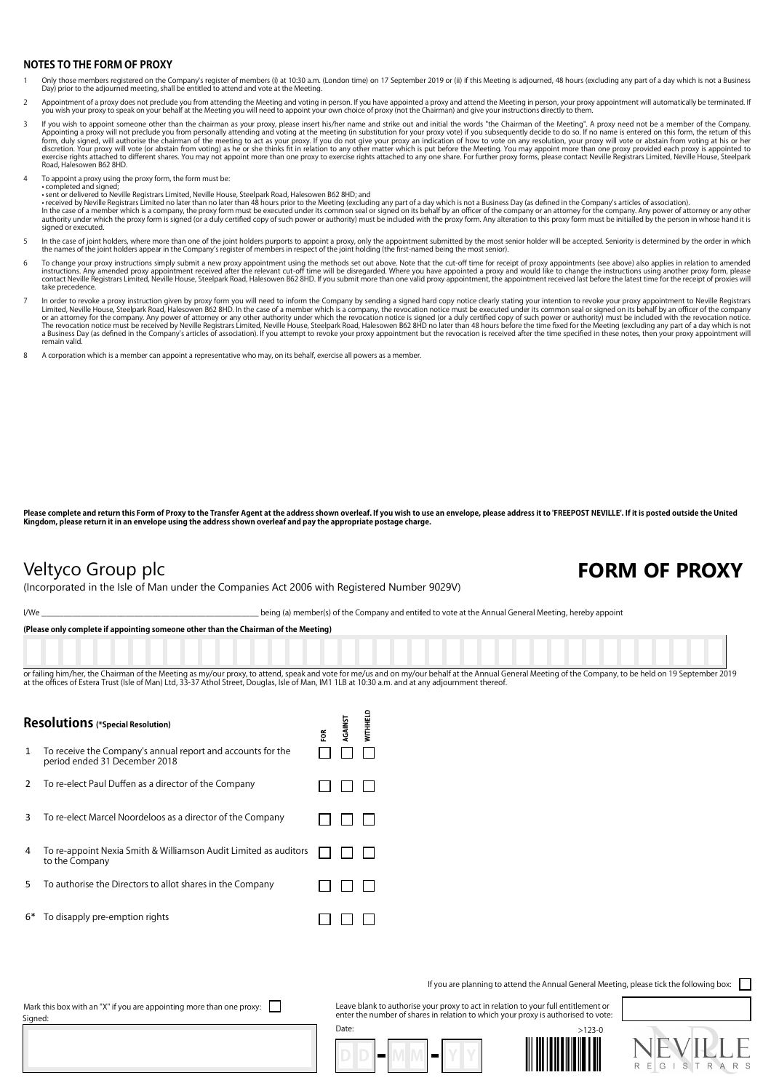## **NOTES TO THE FORM OF PROXY**

- 1 Only those members registered on the Company's register of members (i) at 10:30 a.m. (London time) on 17 September 2019 or (ii) if this Meeting is adjourned, 48 hours (excluding any part of a day which is not a Business<br>
- Appointment of a proxy does not preclude you from attending the Meeting and voting in person. If you have appointed a proxy and attend the Meeting in person, your proxy appointment will automatically be terminated. If you wish your proxy to speak on your behalf at the Meeting you will need to appoint your own choice of proxy (not the Chairman) and give your instructions directly to them.
- If you wish to appoint someone other than the chairman as your proxy, please insert his f/her name and strike out and initial the words "the Chairman of the Meeting for Menanny attending and voting at the meeting (in subst Road, Halesowen B62 8HD.
- To appoint a proxy using the proxy form, the form must be:

• completed and signed; • sent or delivered to Neville Registrars Limited, Neville House, Steelpark Road, Halesowen B62 8HD; and

• received by Neville Registrars Limited no later than no later than 48 hours prior to the Meeting (excluding any part of a day which is not a Business Day (as defined in the Company's articles of association).<br>In the case signed or executed.

- In the case of joint holders, where more than one of the joint holders purports to appoint a proxy, only the appointment submitted by the most senior holder will be accepted. Seniority is determined by the order in which<br>t
- To change your proxy instructions simply submit a new proxy appointment using the methods set out above. Note that the cut-off time for receipt of proxy appointments (see above) also applies in relation to amended in the i take precedence.
- In order to revoke a proxy instruction given by proxy form you will need to inform the Company by sending a signed hard copy notice clearly stating your intention to revoke your proxy appointment to Neville Registrars<br>Limi or an attomey for the company. Any power of attorney or any other authority under which the revocation notice is signed (or a duly certified copy of such power or authority) must be included with the revocation notice.<br>The remain valid.
- 8 A corporation which is a member can appoint a representative who may, on its behalf, exercise all powers as a member.

**Please complete and return this Form of Proxy to the Transfer Agent at the address shown overleaf. If you wish to use an envelope, please address it to 'FREEPOST NEVILLE'. If it is posted outside the United Kingdom, please return it in an envelope using the address shown overleaf and pay the appropriate postage charge.**

## (Incorporated in the Isle of Man under the Companies Act 2006 with Registered Number 9029V)

## Veltyco Group plc **FORM OF PROXY**

I/We state of the Company and entitled to vote at the Annual General Meeting, hereby appoint

**(Please only complete if appointing someone other than the Chairman of the Meeting)**

or failing him/her, the Chairman of the Meeting as my/our proxy, to attend, speak and yote for me/us and on my/our behalf at the Annual General Meeting of the Company, to be held on 19 September 2019 at the offices of Estera Trust (Isle of Man) Ltd, 33-37 Athol Street, Douglas, Isle of Man, IM1 1LB at 10:30 a.m. and at any adjournment thereof.

 $\sim$ 

| <b>Resolutions</b> (*Special Resolution) |                                                                                              |  | <b>RGAINST</b> | <b>NITHHEL</b> |
|------------------------------------------|----------------------------------------------------------------------------------------------|--|----------------|----------------|
| 1                                        | To receive the Company's annual report and accounts for the<br>period ended 31 December 2018 |  |                |                |
| 2                                        | To re-elect Paul Duffen as a director of the Company                                         |  |                |                |
| 3                                        | To re-elect Marcel Noordeloos as a director of the Company                                   |  |                |                |
| 4                                        | To re-appoint Nexia Smith & Williamson Audit Limited as auditors<br>to the Company           |  |                |                |
| 5                                        | To authorise the Directors to allot shares in the Company                                    |  |                |                |
| $6*$                                     | To disapply pre-emption rights                                                               |  |                |                |

If you are planning to attend the Annual General Meeting, please tick the following box:

Mark this box with an "X" if you are appointing more than one proxy:  $\Box$ Signed:

Leave blank to authorise your proxy to act in relation to your full entitlement or enter the number of shares in relation to which your proxy is authorised to vote: Date: